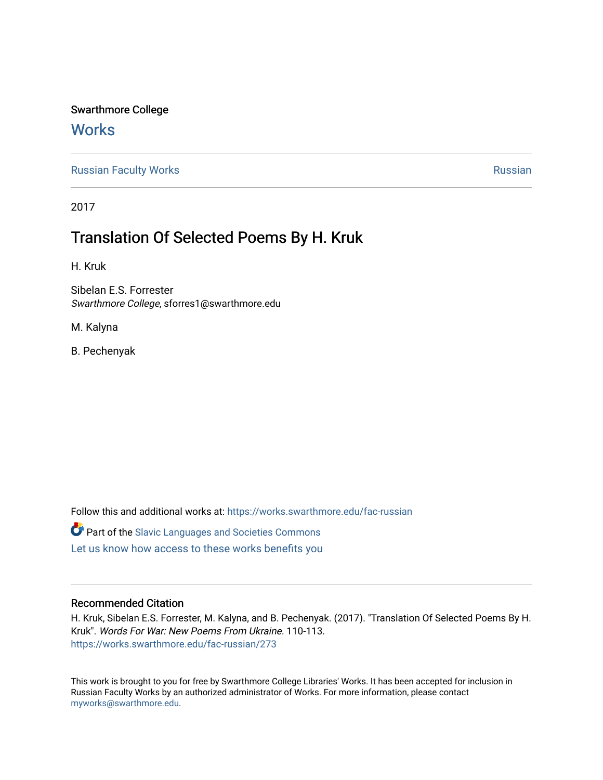## Swarthmore College

## **Works**

[Russian Faculty Works](https://works.swarthmore.edu/fac-russian) **Russian** [Russian](https://works.swarthmore.edu/russian) Russian Russian

2017

# Translation Of Selected Poems By H. Kruk

H. Kruk

Sibelan E.S. Forrester Swarthmore College, sforres1@swarthmore.edu

M. Kalyna

B. Pechenyak

Follow this and additional works at: [https://works.swarthmore.edu/fac-russian](https://works.swarthmore.edu/fac-russian?utm_source=works.swarthmore.edu%2Ffac-russian%2F273&utm_medium=PDF&utm_campaign=PDFCoverPages) 

**C** Part of the Slavic Languages and Societies Commons

[Let us know how access to these works benefits you](https://forms.gle/4MB8mE2GywC5965J8) 

#### Recommended Citation

H. Kruk, Sibelan E.S. Forrester, M. Kalyna, and B. Pechenyak. (2017). "Translation Of Selected Poems By H. Kruk". Words For War: New Poems From Ukraine. 110-113. <https://works.swarthmore.edu/fac-russian/273>

This work is brought to you for free by Swarthmore College Libraries' Works. It has been accepted for inclusion in Russian Faculty Works by an authorized administrator of Works. For more information, please contact [myworks@swarthmore.edu.](mailto:myworks@swarthmore.edu)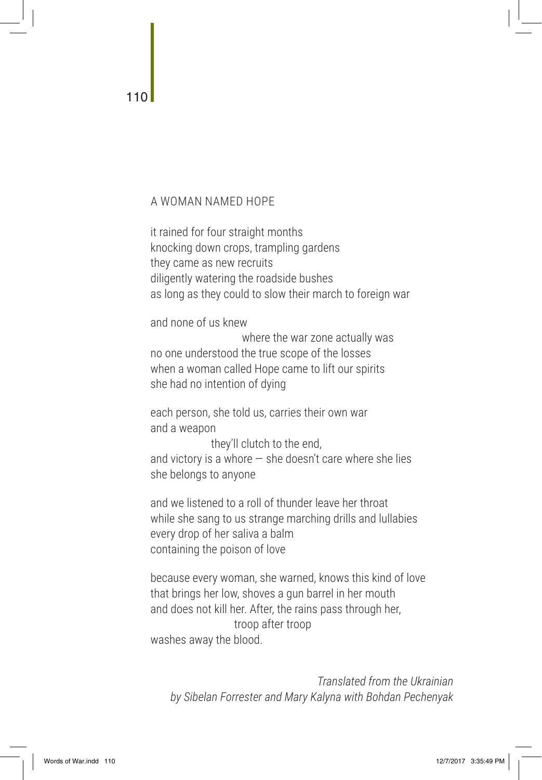### A WOMAN NAMED HOPE

it rained for four straight months knocking down crops, trampling gardens they came as new recruits diligently watering the roadside bushes as long as they could to slow their march to foreign war

and none of us knew

where the war zone actually was no one understood the true scope of the losses when a woman called Hope came to lift our spirits she had no intention of dying

each person, she told us, carries their own war and a weapon they'll clutch to the end,

and victory is a whore  $-$  she doesn't care where she lies she belongs to anyone

and we listened to a roll of thunder leave her throat while she sang to us strange marching drills and lullabies every drop of her saliva a balm containing the poison of love

because every woman, she warned, knows this kind of love that brings her low, shoves a gun barrel in her mouth and does not kill her. After, the rains pass through her, troop after troop washes away the blood.

*Translated from the Ukrainian by Sibelan Forrester and Mary Kalyna with Bohdan Pechenyak*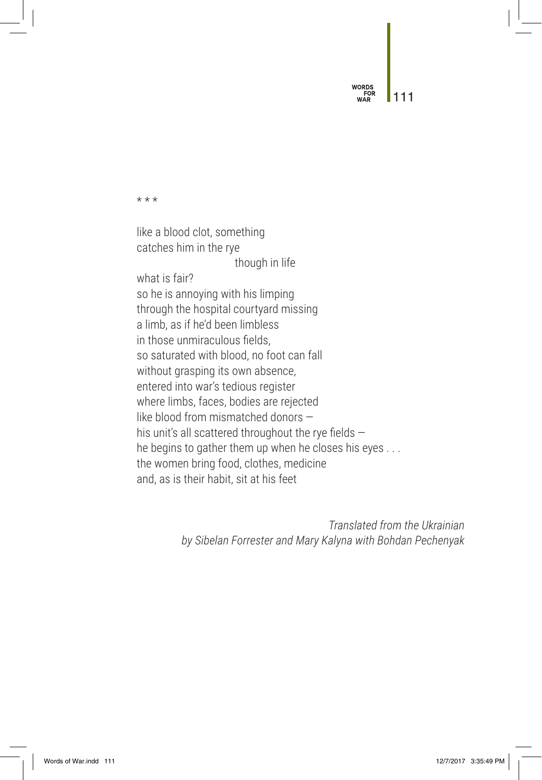WORDS 111

\* \* \*

like a blood clot, something catches him in the rye though in life what is fair? so he is annoying with his limping through the hospital courtyard missing a limb, as if he'd been limbless in those unmiraculous fields, so saturated with blood, no foot can fall without grasping its own absence, entered into war's tedious register where limbs, faces, bodies are rejected like blood from mismatched donors his unit's all scattered throughout the rye fields  $$ he begins to gather them up when he closes his eyes . . . the women bring food, clothes, medicine and, as is their habit, sit at his feet

> *Translated from the Ukrainian by Sibelan Forrester and Mary Kalyna with Bohdan Pechenyak*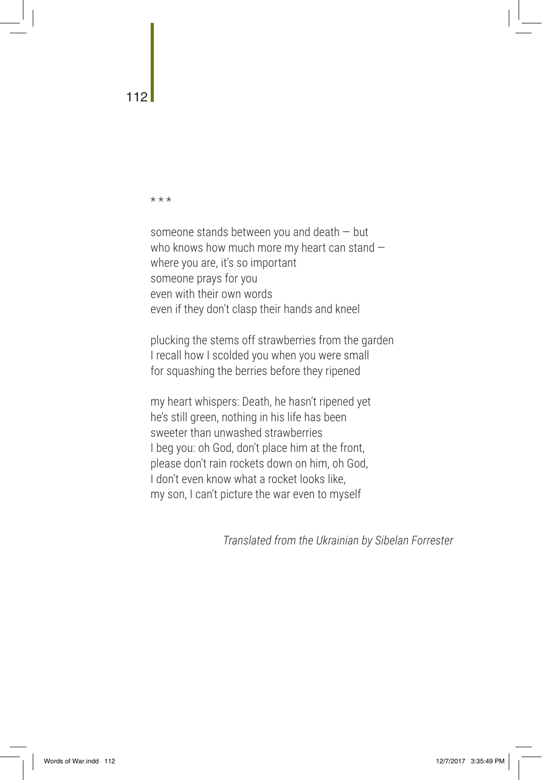\* \* \*

someone stands between you and death — but who knows how much more my heart can stand where you are, it's so important someone prays for you even with their own words even if they don't clasp their hands and kneel

plucking the stems off strawberries from the garden I recall how I scolded you when you were small for squashing the berries before they ripened

my heart whispers: Death, he hasn't ripened yet he's still green, nothing in his life has been sweeter than unwashed strawberries I beg you: oh God, don't place him at the front, please don't rain rockets down on him, oh God, I don't even know what a rocket looks like, my son, I can't picture the war even to myself

*Translated from the Ukrainian by Sibelan Forrester*

112